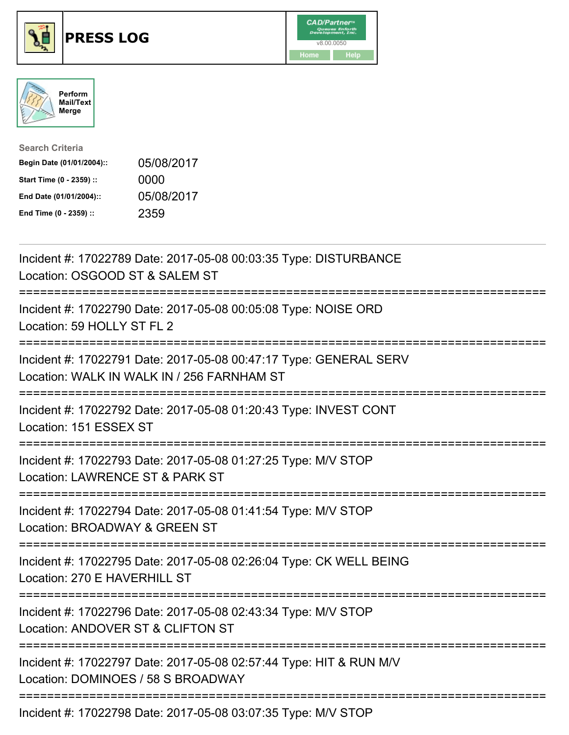





| <b>Search Criteria</b>    |            |
|---------------------------|------------|
| Begin Date (01/01/2004):: | 05/08/2017 |
| Start Time (0 - 2359) ::  | 0000       |
| End Date (01/01/2004)::   | 05/08/2017 |
| End Time (0 - 2359) ::    | 2359       |

| Incident #: 17022789 Date: 2017-05-08 00:03:35 Type: DISTURBANCE<br>Location: OSGOOD ST & SALEM ST<br>--------                                 |
|------------------------------------------------------------------------------------------------------------------------------------------------|
| Incident #: 17022790 Date: 2017-05-08 00:05:08 Type: NOISE ORD<br>Location: 59 HOLLY ST FL 2<br>==============<br>:=========================== |
| Incident #: 17022791 Date: 2017-05-08 00:47:17 Type: GENERAL SERV<br>Location: WALK IN WALK IN / 256 FARNHAM ST                                |
| Incident #: 17022792 Date: 2017-05-08 01:20:43 Type: INVEST CONT<br>Location: 151 ESSEX ST                                                     |
| Incident #: 17022793 Date: 2017-05-08 01:27:25 Type: M/V STOP<br>Location: LAWRENCE ST & PARK ST<br>;==========================                |
| Incident #: 17022794 Date: 2017-05-08 01:41:54 Type: M/V STOP<br>Location: BROADWAY & GREEN ST<br>=======================                      |
| Incident #: 17022795 Date: 2017-05-08 02:26:04 Type: CK WELL BEING<br>Location: 270 E HAVERHILL ST<br>--------------------------------------   |
| Incident #: 17022796 Date: 2017-05-08 02:43:34 Type: M/V STOP<br>Location: ANDOVER ST & CLIFTON ST<br>----------------------                   |
| Incident #: 17022797 Date: 2017-05-08 02:57:44 Type: HIT & RUN M/V<br>Location: DOMINOES / 58 S BROADWAY                                       |
| Incident #: 17022798 Date: 2017-05-08 03:07:35 Type: M/V STOP                                                                                  |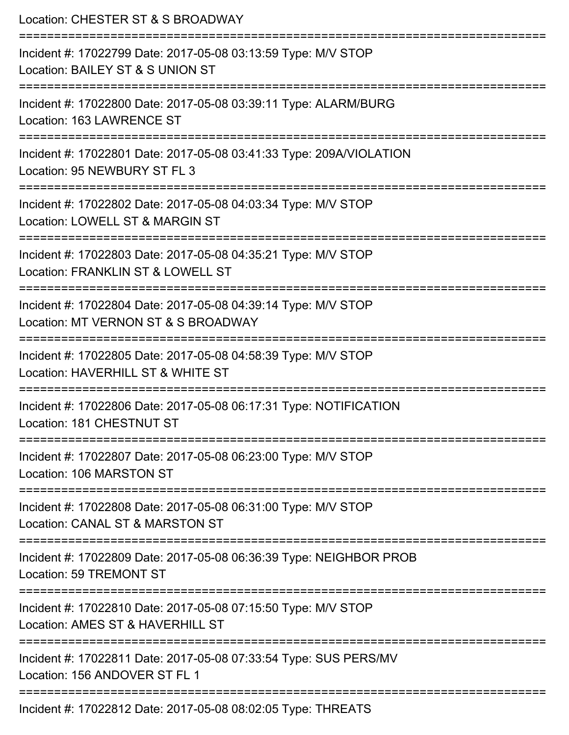| Location: CHESTER ST & S BROADWAY<br>=======================                                                                  |
|-------------------------------------------------------------------------------------------------------------------------------|
| Incident #: 17022799 Date: 2017-05-08 03:13:59 Type: M/V STOP<br>Location: BAILEY ST & S UNION ST<br>:======================= |
| Incident #: 17022800 Date: 2017-05-08 03:39:11 Type: ALARM/BURG<br>Location: 163 LAWRENCE ST                                  |
| Incident #: 17022801 Date: 2017-05-08 03:41:33 Type: 209A/VIOLATION<br>Location: 95 NEWBURY ST FL 3                           |
| Incident #: 17022802 Date: 2017-05-08 04:03:34 Type: M/V STOP<br>Location: LOWELL ST & MARGIN ST                              |
| Incident #: 17022803 Date: 2017-05-08 04:35:21 Type: M/V STOP<br>Location: FRANKLIN ST & LOWELL ST                            |
| Incident #: 17022804 Date: 2017-05-08 04:39:14 Type: M/V STOP<br>Location: MT VERNON ST & S BROADWAY                          |
| Incident #: 17022805 Date: 2017-05-08 04:58:39 Type: M/V STOP<br>Location: HAVERHILL ST & WHITE ST                            |
| Incident #: 17022806 Date: 2017-05-08 06:17:31 Type: NOTIFICATION<br>Location: 181 CHESTNUT ST                                |
| Incident #: 17022807 Date: 2017-05-08 06:23:00 Type: M/V STOP<br>Location: 106 MARSTON ST                                     |
| Incident #: 17022808 Date: 2017-05-08 06:31:00 Type: M/V STOP<br>Location: CANAL ST & MARSTON ST                              |
| Incident #: 17022809 Date: 2017-05-08 06:36:39 Type: NEIGHBOR PROB<br>Location: 59 TREMONT ST                                 |
| Incident #: 17022810 Date: 2017-05-08 07:15:50 Type: M/V STOP<br>Location: AMES ST & HAVERHILL ST                             |
| Incident #: 17022811 Date: 2017-05-08 07:33:54 Type: SUS PERS/MV<br>Location: 156 ANDOVER ST FL 1                             |
| Incident #: 17022812 Date: 2017-05-08 08:02:05 Type: THREATS                                                                  |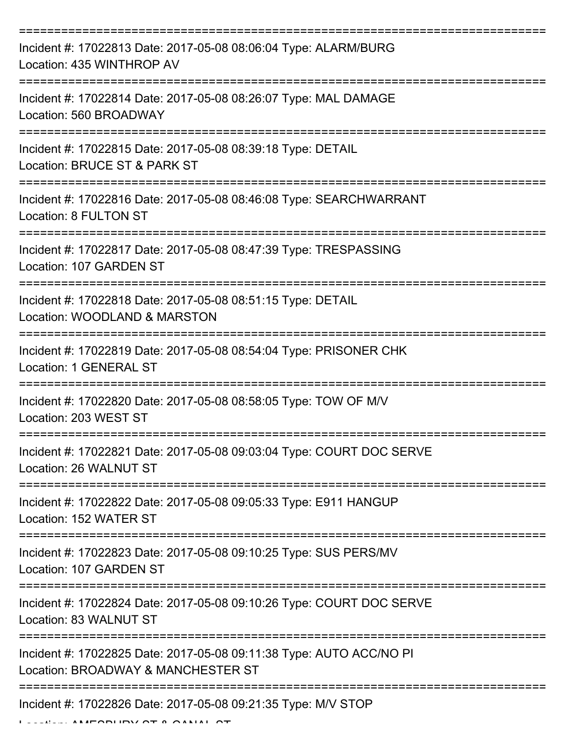| Incident #: 17022813 Date: 2017-05-08 08:06:04 Type: ALARM/BURG<br>Location: 435 WINTHROP AV              |
|-----------------------------------------------------------------------------------------------------------|
| Incident #: 17022814 Date: 2017-05-08 08:26:07 Type: MAL DAMAGE<br>Location: 560 BROADWAY                 |
| Incident #: 17022815 Date: 2017-05-08 08:39:18 Type: DETAIL<br>Location: BRUCE ST & PARK ST               |
| Incident #: 17022816 Date: 2017-05-08 08:46:08 Type: SEARCHWARRANT<br>Location: 8 FULTON ST               |
| Incident #: 17022817 Date: 2017-05-08 08:47:39 Type: TRESPASSING<br>Location: 107 GARDEN ST               |
| Incident #: 17022818 Date: 2017-05-08 08:51:15 Type: DETAIL<br>Location: WOODLAND & MARSTON               |
| Incident #: 17022819 Date: 2017-05-08 08:54:04 Type: PRISONER CHK<br>Location: 1 GENERAL ST               |
| Incident #: 17022820 Date: 2017-05-08 08:58:05 Type: TOW OF M/V<br>Location: 203 WEST ST                  |
| Incident #: 17022821 Date: 2017-05-08 09:03:04 Type: COURT DOC SERVE<br>Location: 26 WALNUT ST            |
| Incident #: 17022822 Date: 2017-05-08 09:05:33 Type: E911 HANGUP<br>Location: 152 WATER ST                |
| Incident #: 17022823 Date: 2017-05-08 09:10:25 Type: SUS PERS/MV<br>Location: 107 GARDEN ST               |
| Incident #: 17022824 Date: 2017-05-08 09:10:26 Type: COURT DOC SERVE<br>Location: 83 WALNUT ST            |
| Incident #: 17022825 Date: 2017-05-08 09:11:38 Type: AUTO ACC/NO PI<br>Location: BROADWAY & MANCHESTER ST |
| Incident #: 17022826 Date: 2017-05-08 09:21:35 Type: M/V STOP                                             |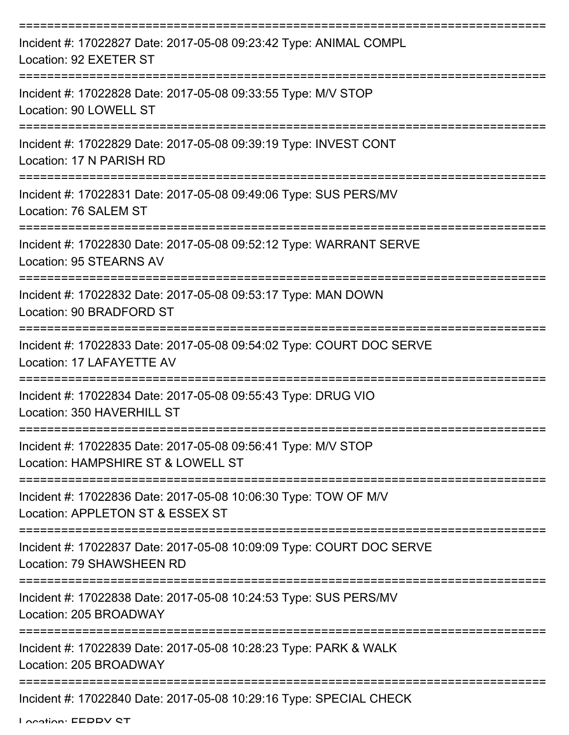| Incident #: 17022827 Date: 2017-05-08 09:23:42 Type: ANIMAL COMPL<br>Location: 92 EXETER ST          |
|------------------------------------------------------------------------------------------------------|
| Incident #: 17022828 Date: 2017-05-08 09:33:55 Type: M/V STOP<br>Location: 90 LOWELL ST              |
| Incident #: 17022829 Date: 2017-05-08 09:39:19 Type: INVEST CONT<br>Location: 17 N PARISH RD         |
| Incident #: 17022831 Date: 2017-05-08 09:49:06 Type: SUS PERS/MV<br>Location: 76 SALEM ST            |
| Incident #: 17022830 Date: 2017-05-08 09:52:12 Type: WARRANT SERVE<br><b>Location: 95 STEARNS AV</b> |
| Incident #: 17022832 Date: 2017-05-08 09:53:17 Type: MAN DOWN<br>Location: 90 BRADFORD ST            |
| Incident #: 17022833 Date: 2017-05-08 09:54:02 Type: COURT DOC SERVE<br>Location: 17 LAFAYETTE AV    |
| Incident #: 17022834 Date: 2017-05-08 09:55:43 Type: DRUG VIO<br>Location: 350 HAVERHILL ST          |
| Incident #: 17022835 Date: 2017-05-08 09:56:41 Type: M/V STOP<br>Location: HAMPSHIRE ST & LOWELL ST  |
| Incident #: 17022836 Date: 2017-05-08 10:06:30 Type: TOW OF M/V<br>Location: APPLETON ST & ESSEX ST  |
| Incident #: 17022837 Date: 2017-05-08 10:09:09 Type: COURT DOC SERVE<br>Location: 79 SHAWSHEEN RD    |
| Incident #: 17022838 Date: 2017-05-08 10:24:53 Type: SUS PERS/MV<br>Location: 205 BROADWAY           |
| Incident #: 17022839 Date: 2017-05-08 10:28:23 Type: PARK & WALK<br>Location: 205 BROADWAY           |
| Incident #: 17022840 Date: 2017-05-08 10:29:16 Type: SPECIAL CHECK                                   |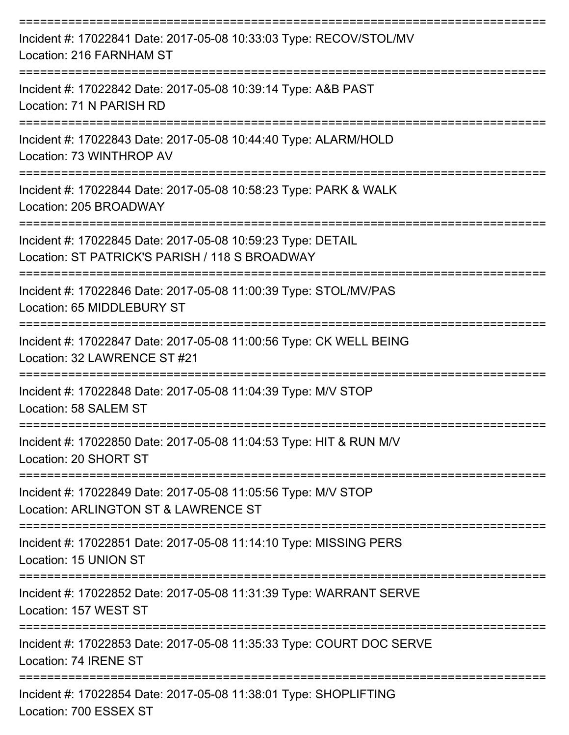| Incident #: 17022841 Date: 2017-05-08 10:33:03 Type: RECOV/STOL/MV<br>Location: 216 FARNHAM ST                |
|---------------------------------------------------------------------------------------------------------------|
| Incident #: 17022842 Date: 2017-05-08 10:39:14 Type: A&B PAST<br>Location: 71 N PARISH RD                     |
| Incident #: 17022843 Date: 2017-05-08 10:44:40 Type: ALARM/HOLD<br>Location: 73 WINTHROP AV                   |
| Incident #: 17022844 Date: 2017-05-08 10:58:23 Type: PARK & WALK<br>Location: 205 BROADWAY                    |
| Incident #: 17022845 Date: 2017-05-08 10:59:23 Type: DETAIL<br>Location: ST PATRICK'S PARISH / 118 S BROADWAY |
| Incident #: 17022846 Date: 2017-05-08 11:00:39 Type: STOL/MV/PAS<br>Location: 65 MIDDLEBURY ST                |
| Incident #: 17022847 Date: 2017-05-08 11:00:56 Type: CK WELL BEING<br>Location: 32 LAWRENCE ST #21            |
| Incident #: 17022848 Date: 2017-05-08 11:04:39 Type: M/V STOP<br>Location: 58 SALEM ST                        |
| Incident #: 17022850 Date: 2017-05-08 11:04:53 Type: HIT & RUN M/V<br>Location: 20 SHORT ST                   |
| Incident #: 17022849 Date: 2017-05-08 11:05:56 Type: M/V STOP<br>Location: ARLINGTON ST & LAWRENCE ST         |
| Incident #: 17022851 Date: 2017-05-08 11:14:10 Type: MISSING PERS<br>Location: 15 UNION ST                    |
| Incident #: 17022852 Date: 2017-05-08 11:31:39 Type: WARRANT SERVE<br>Location: 157 WEST ST                   |
| Incident #: 17022853 Date: 2017-05-08 11:35:33 Type: COURT DOC SERVE<br>Location: 74 IRENE ST                 |
| Incident #: 17022854 Date: 2017-05-08 11:38:01 Type: SHOPLIFTING<br>Location: 700 ESSEX ST                    |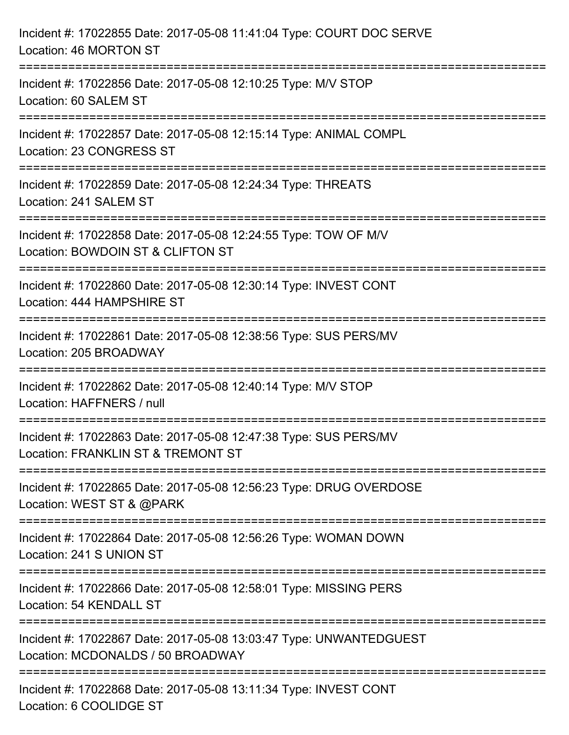| Incident #: 17022855 Date: 2017-05-08 11:41:04 Type: COURT DOC SERVE<br>Location: 46 MORTON ST                                        |
|---------------------------------------------------------------------------------------------------------------------------------------|
| =========================<br>Incident #: 17022856 Date: 2017-05-08 12:10:25 Type: M/V STOP<br>Location: 60 SALEM ST                   |
| Incident #: 17022857 Date: 2017-05-08 12:15:14 Type: ANIMAL COMPL<br>Location: 23 CONGRESS ST<br>;=================================== |
| Incident #: 17022859 Date: 2017-05-08 12:24:34 Type: THREATS<br>Location: 241 SALEM ST                                                |
| Incident #: 17022858 Date: 2017-05-08 12:24:55 Type: TOW OF M/V<br>Location: BOWDOIN ST & CLIFTON ST<br>=================             |
| Incident #: 17022860 Date: 2017-05-08 12:30:14 Type: INVEST CONT<br>Location: 444 HAMPSHIRE ST                                        |
| Incident #: 17022861 Date: 2017-05-08 12:38:56 Type: SUS PERS/MV<br>Location: 205 BROADWAY                                            |
| Incident #: 17022862 Date: 2017-05-08 12:40:14 Type: M/V STOP<br>Location: HAFFNERS / null                                            |
| Incident #: 17022863 Date: 2017-05-08 12:47:38 Type: SUS PERS/MV<br>Location: FRANKLIN ST & TREMONT ST                                |
| Incident #: 17022865 Date: 2017-05-08 12:56:23 Type: DRUG OVERDOSE<br>Location: WEST ST & @PARK                                       |
| Incident #: 17022864 Date: 2017-05-08 12:56:26 Type: WOMAN DOWN<br>Location: 241 S UNION ST                                           |
| Incident #: 17022866 Date: 2017-05-08 12:58:01 Type: MISSING PERS<br>Location: 54 KENDALL ST                                          |
| Incident #: 17022867 Date: 2017-05-08 13:03:47 Type: UNWANTEDGUEST<br>Location: MCDONALDS / 50 BROADWAY                               |
| Incident #: 17022868 Date: 2017-05-08 13:11:34 Type: INVEST CONT<br>Location: 6 COOLIDGE ST                                           |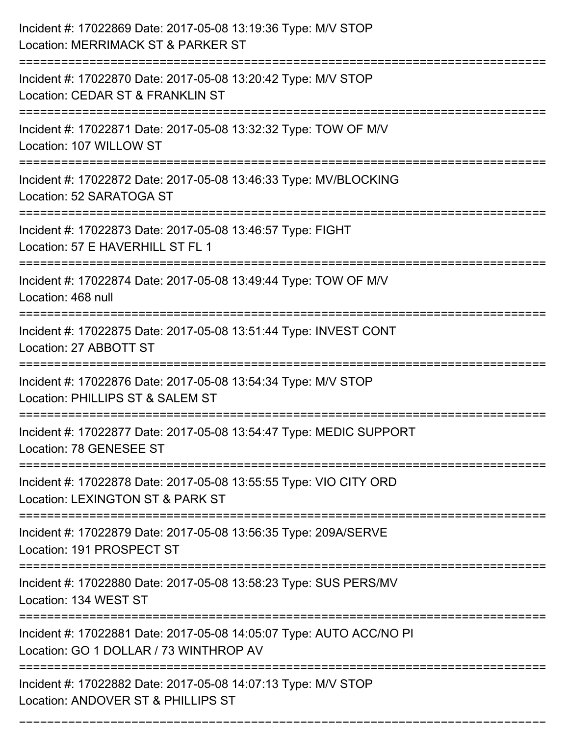| Incident #: 17022869 Date: 2017-05-08 13:19:36 Type: M/V STOP<br>Location: MERRIMACK ST & PARKER ST                   |
|-----------------------------------------------------------------------------------------------------------------------|
| Incident #: 17022870 Date: 2017-05-08 13:20:42 Type: M/V STOP<br>Location: CEDAR ST & FRANKLIN ST                     |
| Incident #: 17022871 Date: 2017-05-08 13:32:32 Type: TOW OF M/V<br>Location: 107 WILLOW ST                            |
| Incident #: 17022872 Date: 2017-05-08 13:46:33 Type: MV/BLOCKING<br>Location: 52 SARATOGA ST                          |
| Incident #: 17022873 Date: 2017-05-08 13:46:57 Type: FIGHT<br>Location: 57 E HAVERHILL ST FL 1                        |
| Incident #: 17022874 Date: 2017-05-08 13:49:44 Type: TOW OF M/V<br>Location: 468 null                                 |
| Incident #: 17022875 Date: 2017-05-08 13:51:44 Type: INVEST CONT<br>Location: 27 ABBOTT ST<br>======================= |
| Incident #: 17022876 Date: 2017-05-08 13:54:34 Type: M/V STOP<br>Location: PHILLIPS ST & SALEM ST                     |
| Incident #: 17022877 Date: 2017-05-08 13:54:47 Type: MEDIC SUPPORT<br>Location: 78 GENESEE ST                         |
| Incident #: 17022878 Date: 2017-05-08 13:55:55 Type: VIO CITY ORD<br>Location: LEXINGTON ST & PARK ST                 |
| Incident #: 17022879 Date: 2017-05-08 13:56:35 Type: 209A/SERVE<br>Location: 191 PROSPECT ST                          |
| Incident #: 17022880 Date: 2017-05-08 13:58:23 Type: SUS PERS/MV<br>Location: 134 WEST ST                             |
| Incident #: 17022881 Date: 2017-05-08 14:05:07 Type: AUTO ACC/NO PI<br>Location: GO 1 DOLLAR / 73 WINTHROP AV         |
| Incident #: 17022882 Date: 2017-05-08 14:07:13 Type: M/V STOP<br>Location: ANDOVER ST & PHILLIPS ST                   |

===========================================================================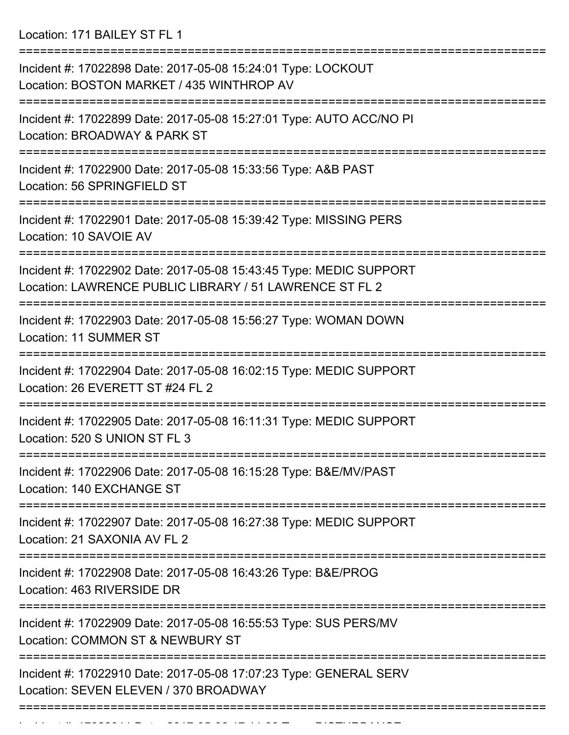Location: 171 BAILEY ST FL 1

| Incident #: 17022898 Date: 2017-05-08 15:24:01 Type: LOCKOUT<br>Location: BOSTON MARKET / 435 WINTHROP AV                            |
|--------------------------------------------------------------------------------------------------------------------------------------|
| Incident #: 17022899 Date: 2017-05-08 15:27:01 Type: AUTO ACC/NO PI<br>Location: BROADWAY & PARK ST                                  |
| Incident #: 17022900 Date: 2017-05-08 15:33:56 Type: A&B PAST<br>Location: 56 SPRINGFIELD ST                                         |
| Incident #: 17022901 Date: 2017-05-08 15:39:42 Type: MISSING PERS<br>Location: 10 SAVOIE AV                                          |
| Incident #: 17022902 Date: 2017-05-08 15:43:45 Type: MEDIC SUPPORT<br>Location: LAWRENCE PUBLIC LIBRARY / 51 LAWRENCE ST FL 2        |
| :===============================<br>Incident #: 17022903 Date: 2017-05-08 15:56:27 Type: WOMAN DOWN<br><b>Location: 11 SUMMER ST</b> |
| Incident #: 17022904 Date: 2017-05-08 16:02:15 Type: MEDIC SUPPORT<br>Location: 26 EVERETT ST #24 FL 2                               |
| Incident #: 17022905 Date: 2017-05-08 16:11:31 Type: MEDIC SUPPORT<br>Location: 520 S UNION ST FL 3                                  |
| Incident #: 17022906 Date: 2017-05-08 16:15:28 Type: B&E/MV/PAST<br>Location: 140 EXCHANGE ST                                        |
| ===============<br>Incident #: 17022907 Date: 2017-05-08 16:27:38 Type: MEDIC SUPPORT<br>Location: 21 SAXONIA AV FL 2                |
| Incident #: 17022908 Date: 2017-05-08 16:43:26 Type: B&E/PROG<br>Location: 463 RIVERSIDE DR                                          |
| Incident #: 17022909 Date: 2017-05-08 16:55:53 Type: SUS PERS/MV<br>Location: COMMON ST & NEWBURY ST                                 |
| Incident #: 17022910 Date: 2017-05-08 17:07:23 Type: GENERAL SERV<br>Location: SEVEN ELEVEN / 370 BROADWAY                           |
|                                                                                                                                      |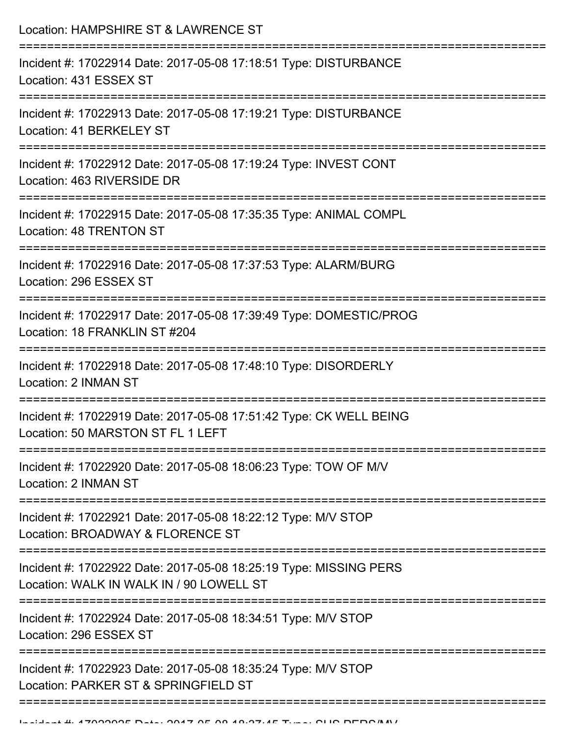| Location: HAMPSHIRE ST & LAWRENCE ST                                                                               |
|--------------------------------------------------------------------------------------------------------------------|
| Incident #: 17022914 Date: 2017-05-08 17:18:51 Type: DISTURBANCE<br>Location: 431 ESSEX ST                         |
| Incident #: 17022913 Date: 2017-05-08 17:19:21 Type: DISTURBANCE<br>Location: 41 BERKELEY ST<br>================== |
| Incident #: 17022912 Date: 2017-05-08 17:19:24 Type: INVEST CONT<br>Location: 463 RIVERSIDE DR                     |
| Incident #: 17022915 Date: 2017-05-08 17:35:35 Type: ANIMAL COMPL<br><b>Location: 48 TRENTON ST</b>                |
| Incident #: 17022916 Date: 2017-05-08 17:37:53 Type: ALARM/BURG<br>Location: 296 ESSEX ST                          |
| Incident #: 17022917 Date: 2017-05-08 17:39:49 Type: DOMESTIC/PROG<br>Location: 18 FRANKLIN ST #204                |
| Incident #: 17022918 Date: 2017-05-08 17:48:10 Type: DISORDERLY<br>Location: 2 INMAN ST                            |
| Incident #: 17022919 Date: 2017-05-08 17:51:42 Type: CK WELL BEING<br>Location: 50 MARSTON ST FL 1 LEFT            |
| Incident #: 17022920 Date: 2017-05-08 18:06:23 Type: TOW OF M/V<br>Location: 2 INMAN ST                            |
| Incident #: 17022921 Date: 2017-05-08 18:22:12 Type: M/V STOP<br>Location: BROADWAY & FLORENCE ST                  |
| Incident #: 17022922 Date: 2017-05-08 18:25:19 Type: MISSING PERS<br>Location: WALK IN WALK IN / 90 LOWELL ST      |
| Incident #: 17022924 Date: 2017-05-08 18:34:51 Type: M/V STOP<br>Location: 296 ESSEX ST                            |
| Incident #: 17022923 Date: 2017-05-08 18:35:24 Type: M/V STOP<br>Location: PARKER ST & SPRINGFIELD ST              |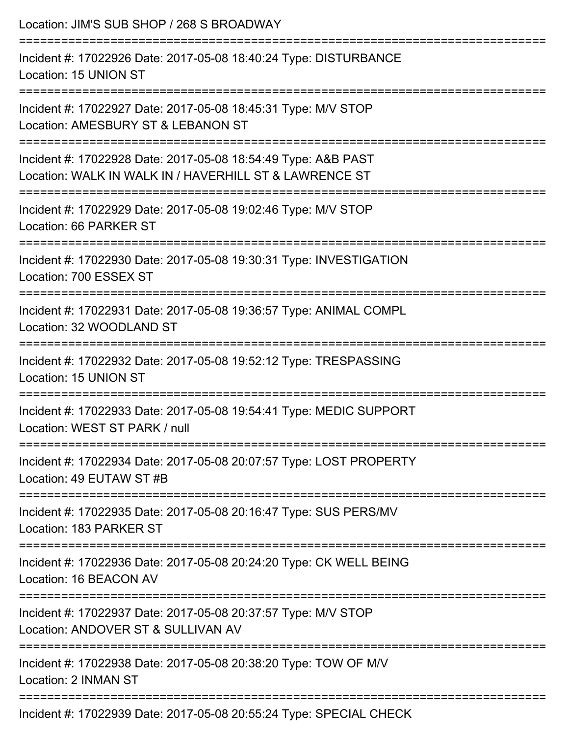| Location: JIM'S SUB SHOP / 268 S BROADWAY                                                                                                                     |
|---------------------------------------------------------------------------------------------------------------------------------------------------------------|
| Incident #: 17022926 Date: 2017-05-08 18:40:24 Type: DISTURBANCE<br>Location: 15 UNION ST                                                                     |
| Incident #: 17022927 Date: 2017-05-08 18:45:31 Type: M/V STOP<br>Location: AMESBURY ST & LEBANON ST                                                           |
| Incident #: 17022928 Date: 2017-05-08 18:54:49 Type: A&B PAST<br>Location: WALK IN WALK IN / HAVERHILL ST & LAWRENCE ST<br>================================== |
| Incident #: 17022929 Date: 2017-05-08 19:02:46 Type: M/V STOP<br>Location: 66 PARKER ST                                                                       |
| Incident #: 17022930 Date: 2017-05-08 19:30:31 Type: INVESTIGATION<br>Location: 700 ESSEX ST                                                                  |
| Incident #: 17022931 Date: 2017-05-08 19:36:57 Type: ANIMAL COMPL<br>Location: 32 WOODLAND ST                                                                 |
| Incident #: 17022932 Date: 2017-05-08 19:52:12 Type: TRESPASSING<br>Location: 15 UNION ST                                                                     |
| Incident #: 17022933 Date: 2017-05-08 19:54:41 Type: MEDIC SUPPORT<br>Location: WEST ST PARK / null                                                           |
| ===============================<br>Incident #: 17022934 Date: 2017-05-08 20:07:57 Type: LOST PROPERTY<br>Location: 49 EUTAW ST #B                             |
| Incident #: 17022935 Date: 2017-05-08 20:16:47 Type: SUS PERS/MV<br>Location: 183 PARKER ST                                                                   |
| Incident #: 17022936 Date: 2017-05-08 20:24:20 Type: CK WELL BEING<br>Location: 16 BEACON AV                                                                  |
| Incident #: 17022937 Date: 2017-05-08 20:37:57 Type: M/V STOP<br>Location: ANDOVER ST & SULLIVAN AV                                                           |
| Incident #: 17022938 Date: 2017-05-08 20:38:20 Type: TOW OF M/V<br>Location: 2 INMAN ST                                                                       |
|                                                                                                                                                               |

Incident #: 17022939 Date: 2017-05-08 20:55:24 Type: SPECIAL CHECK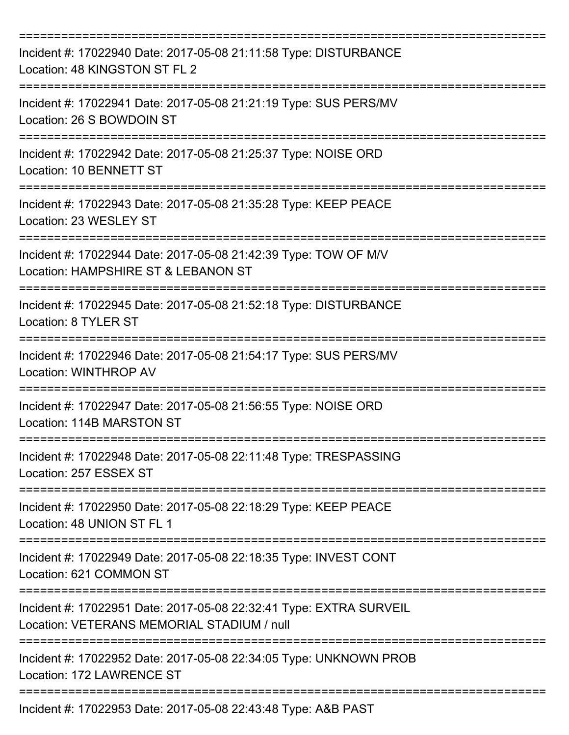| Incident #: 17022940 Date: 2017-05-08 21:11:58 Type: DISTURBANCE<br>Location: 48 KINGSTON ST FL 2                |
|------------------------------------------------------------------------------------------------------------------|
| Incident #: 17022941 Date: 2017-05-08 21:21:19 Type: SUS PERS/MV<br>Location: 26 S BOWDOIN ST                    |
| Incident #: 17022942 Date: 2017-05-08 21:25:37 Type: NOISE ORD<br>Location: 10 BENNETT ST                        |
| Incident #: 17022943 Date: 2017-05-08 21:35:28 Type: KEEP PEACE<br>Location: 23 WESLEY ST                        |
| Incident #: 17022944 Date: 2017-05-08 21:42:39 Type: TOW OF M/V<br>Location: HAMPSHIRE ST & LEBANON ST           |
| Incident #: 17022945 Date: 2017-05-08 21:52:18 Type: DISTURBANCE<br>Location: 8 TYLER ST                         |
| Incident #: 17022946 Date: 2017-05-08 21:54:17 Type: SUS PERS/MV<br><b>Location: WINTHROP AV</b>                 |
| Incident #: 17022947 Date: 2017-05-08 21:56:55 Type: NOISE ORD<br>Location: 114B MARSTON ST                      |
| Incident #: 17022948 Date: 2017-05-08 22:11:48 Type: TRESPASSING<br>Location: 257 ESSEX ST                       |
| Incident #: 17022950 Date: 2017-05-08 22:18:29 Type: KEEP PEACE<br>Location: 48 UNION ST FL 1                    |
| Incident #: 17022949 Date: 2017-05-08 22:18:35 Type: INVEST CONT<br>Location: 621 COMMON ST                      |
| Incident #: 17022951 Date: 2017-05-08 22:32:41 Type: EXTRA SURVEIL<br>Location: VETERANS MEMORIAL STADIUM / null |
| Incident #: 17022952 Date: 2017-05-08 22:34:05 Type: UNKNOWN PROB<br>Location: 172 LAWRENCE ST                   |
| Incident #: 17022953 Date: 2017-05-08 22:43:48 Type: A&B PAST                                                    |